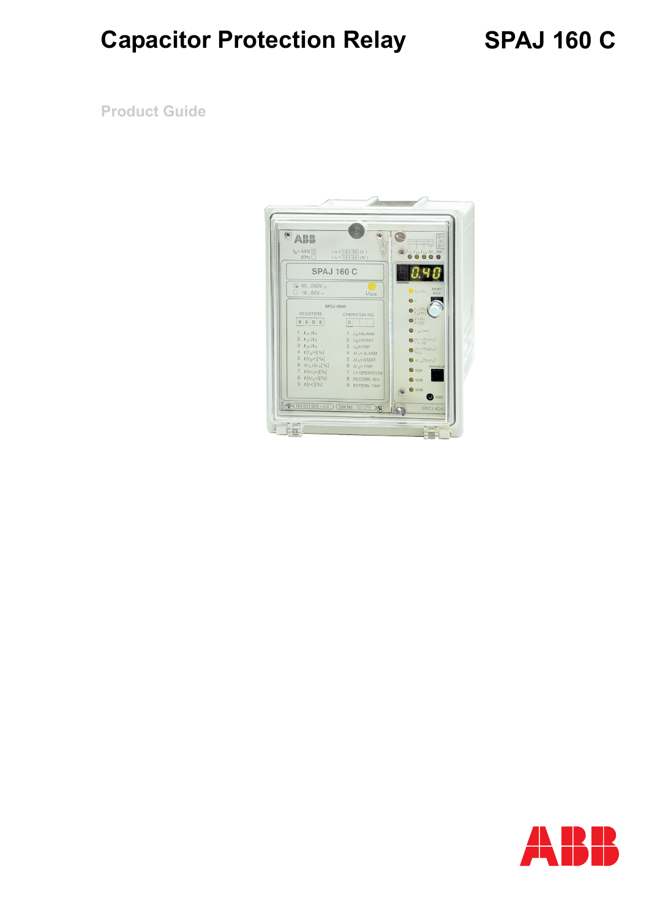# **SPAJ 160 C**

**Product Guide**



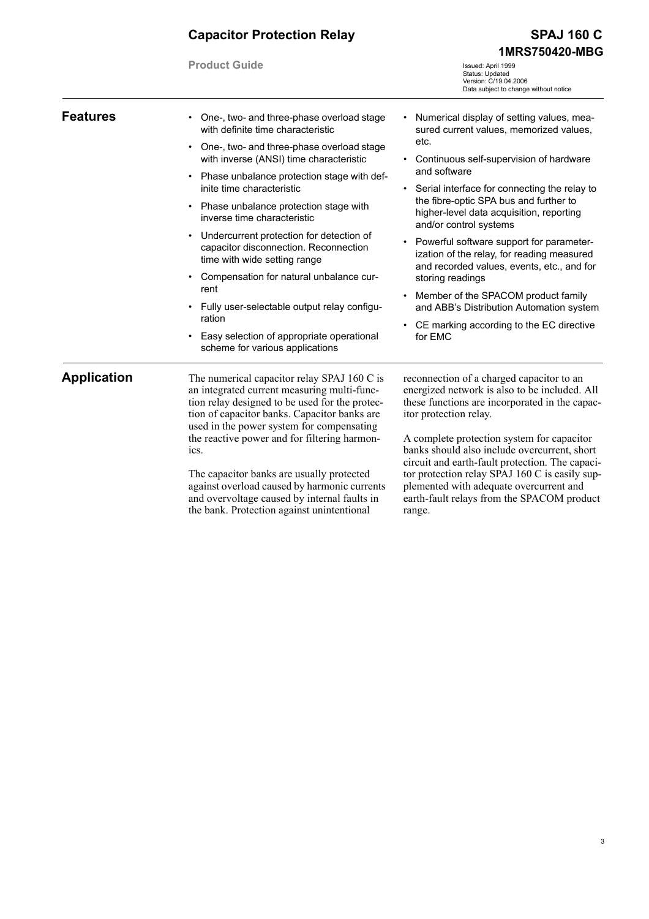**Product Guide**

**SPAJ 160 C 1MRS750420-MBG**

Issued: April 1999 Status: Updated Version: C/19.04.2006 Data subject to change without notice

| <b>Features</b>    | One-, two- and three-phase overload stage<br>with definite time characteristic<br>One-, two- and three-phase overload stage<br>$\bullet$                                                                                                                                                          | Numerical display of setting values, mea-<br>sured current values, memorized values,<br>etc.                                                                                                                                                                                                                            |  |
|--------------------|---------------------------------------------------------------------------------------------------------------------------------------------------------------------------------------------------------------------------------------------------------------------------------------------------|-------------------------------------------------------------------------------------------------------------------------------------------------------------------------------------------------------------------------------------------------------------------------------------------------------------------------|--|
|                    | with inverse (ANSI) time characteristic                                                                                                                                                                                                                                                           | Continuous self-supervision of hardware<br>٠                                                                                                                                                                                                                                                                            |  |
|                    | Phase unbalance protection stage with def-<br>inite time characteristic                                                                                                                                                                                                                           | and software<br>Serial interface for connecting the relay to                                                                                                                                                                                                                                                            |  |
|                    | Phase unbalance protection stage with<br>$\bullet$<br>inverse time characteristic                                                                                                                                                                                                                 | the fibre-optic SPA bus and further to<br>higher-level data acquisition, reporting<br>and/or control systems                                                                                                                                                                                                            |  |
|                    | Undercurrent protection for detection of<br>$\bullet$<br>capacitor disconnection. Reconnection<br>time with wide setting range                                                                                                                                                                    | Powerful software support for parameter-<br>$\bullet$<br>ization of the relay, for reading measured<br>and recorded values, events, etc., and for                                                                                                                                                                       |  |
|                    | Compensation for natural unbalance cur-<br>rent<br>Fully user-selectable output relay configu-<br>ration                                                                                                                                                                                          | storing readings                                                                                                                                                                                                                                                                                                        |  |
|                    |                                                                                                                                                                                                                                                                                                   | Member of the SPACOM product family<br>$\bullet$<br>and ABB's Distribution Automation system                                                                                                                                                                                                                            |  |
|                    |                                                                                                                                                                                                                                                                                                   | CE marking according to the EC directive                                                                                                                                                                                                                                                                                |  |
|                    | Easy selection of appropriate operational<br>scheme for various applications                                                                                                                                                                                                                      | for EMC                                                                                                                                                                                                                                                                                                                 |  |
| <b>Application</b> | The numerical capacitor relay SPAJ 160 C is<br>an integrated current measuring multi-func-<br>tion relay designed to be used for the protec-<br>tion of capacitor banks. Capacitor banks are<br>used in the power system for compensating<br>the reactive power and for filtering harmon-<br>ics. | reconnection of a charged capacitor to an<br>energized network is also to be included. All<br>these functions are incorporated in the capac-<br>itor protection relay.<br>A complete protection system for capacitor<br>banks should also include overcurrent, short<br>circuit and earth-fault protection. The capaci- |  |
|                    | The capacitor banks are usually protected                                                                                                                                                                                                                                                         | tor protection relay SPAJ 160 C is easily sup-                                                                                                                                                                                                                                                                          |  |

against overload caused by harmonic currents and overvoltage caused by internal faults in the bank. Protection against unintentional

plemented with adequate overcurrent and earth-fault relays from the SPACOM product range.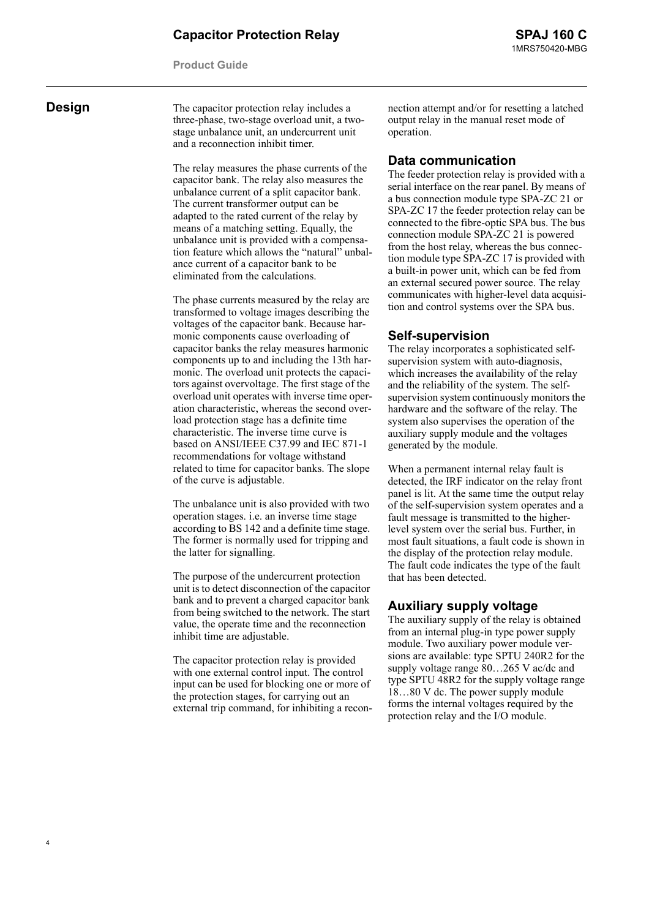**Product Guide**

4

**Design** The capacitor protection relay includes a three-phase, two-stage overload unit, a twostage unbalance unit, an undercurrent unit and a reconnection inhibit timer.

> The relay measures the phase currents of the capacitor bank. The relay also measures the unbalance current of a split capacitor bank. The current transformer output can be adapted to the rated current of the relay by means of a matching setting. Equally, the unbalance unit is provided with a compensation feature which allows the "natural" unbalance current of a capacitor bank to be eliminated from the calculations.

> The phase currents measured by the relay are transformed to voltage images describing the voltages of the capacitor bank. Because harmonic components cause overloading of capacitor banks the relay measures harmonic components up to and including the 13th harmonic. The overload unit protects the capacitors against overvoltage. The first stage of the overload unit operates with inverse time operation characteristic, whereas the second overload protection stage has a definite time characteristic. The inverse time curve is based on ANSI/IEEE C37.99 and IEC 871-1 recommendations for voltage withstand related to time for capacitor banks. The slope of the curve is adjustable.

> The unbalance unit is also provided with two operation stages. i.e. an inverse time stage according to BS 142 and a definite time stage. The former is normally used for tripping and the latter for signalling.

> The purpose of the undercurrent protection unit is to detect disconnection of the capacitor bank and to prevent a charged capacitor bank from being switched to the network. The start value, the operate time and the reconnection inhibit time are adjustable.

> The capacitor protection relay is provided with one external control input. The control input can be used for blocking one or more of the protection stages, for carrying out an external trip command, for inhibiting a recon

nection attempt and/or for resetting a latched output relay in the manual reset mode of operation.

#### **Data communication**

The feeder protection relay is provided with a serial interface on the rear panel. By means of a bus connection module type SPA-ZC 21 or SPA-ZC 17 the feeder protection relay can be connected to the fibre-optic SPA bus. The bus connection module SPA-ZC 21 is powered from the host relay, whereas the bus connection module type SPA-ZC 17 is provided with a built-in power unit, which can be fed from an external secured power source. The relay communicates with higher-level data acquisition and control systems over the SPA bus.

#### **Self-supervision**

The relay incorporates a sophisticated selfsupervision system with auto-diagnosis, which increases the availability of the relay and the reliability of the system. The selfsupervision system continuously monitors the hardware and the software of the relay. The system also supervises the operation of the auxiliary supply module and the voltages generated by the module.

When a permanent internal relay fault is detected, the IRF indicator on the relay front panel is lit. At the same time the output relay of the self-supervision system operates and a fault message is transmitted to the higherlevel system over the serial bus. Further, in most fault situations, a fault code is shown in the display of the protection relay module. The fault code indicates the type of the fault that has been detected.

#### **Auxiliary supply voltage**

The auxiliary supply of the relay is obtained from an internal plug-in type power supply module. Two auxiliary power module versions are available: type SPTU 240R2 for the supply voltage range 80…265 V ac/dc and type SPTU 48R2 for the supply voltage range 18…80 V dc. The power supply module forms the internal voltages required by the protection relay and the I/O module.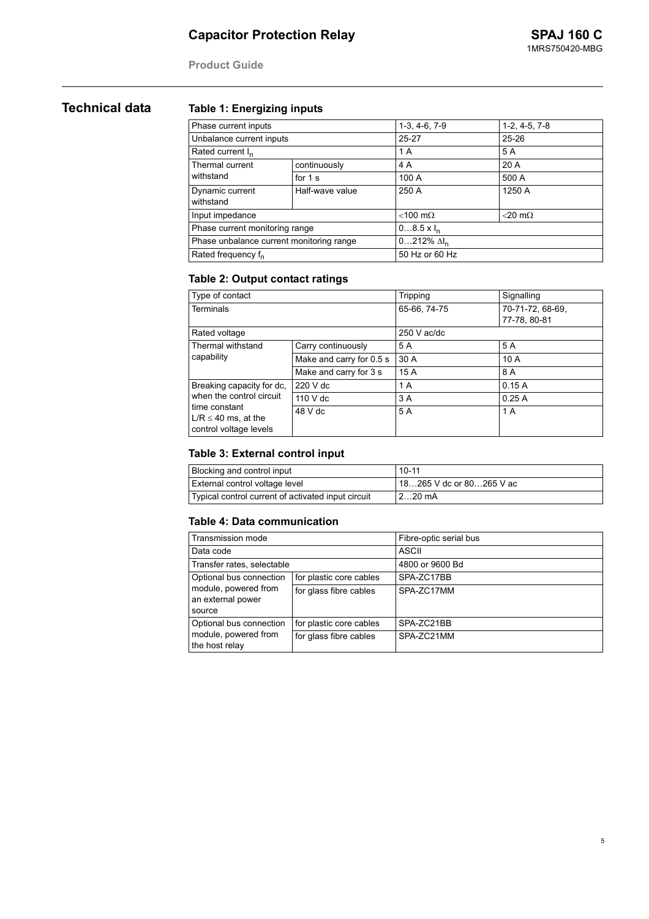**Product Guide**

### **Technical data Table 1: Energizing inputs**

| Phase current inputs                     |                 | $1-3, 4-6, 7-9$       | $1-2, 4-5, 7-8$   |  |
|------------------------------------------|-----------------|-----------------------|-------------------|--|
| Unbalance current inputs                 |                 | $25 - 27$             | $25 - 26$         |  |
| Rated current I <sub>n</sub>             |                 | 1 A                   | 5 A               |  |
| Thermal current                          | continuously    | 4 A                   | 20A               |  |
| withstand                                | for $1s$        | 100 A                 | 500 A             |  |
| Dynamic current<br>withstand             | Half-wave value | 250 A                 | 1250 A            |  |
| Input impedance                          |                 | $<$ 100 m $\Omega$    | $<$ 20 m $\Omega$ |  |
| Phase current monitoring range           |                 | $08.5 \times I_n$     |                   |  |
| Phase unbalance current monitoring range |                 | $0212\%$ $\Delta I_n$ |                   |  |
| Rated frequency f <sub>n</sub>           |                 | 50 Hz or 60 Hz        |                   |  |

#### **Table 2: Output contact ratings**

| Type of contact                                                                                 |                          | Tripping      | Signalling       |
|-------------------------------------------------------------------------------------------------|--------------------------|---------------|------------------|
| <b>Terminals</b>                                                                                |                          | 65-66, 74-75  | 70-71-72, 68-69, |
|                                                                                                 |                          |               | 77-78, 80-81     |
| Rated voltage                                                                                   |                          | $250$ V ac/dc |                  |
| Thermal withstand                                                                               | Carry continuously       | 5 A           | 5 A              |
| capability                                                                                      | Make and carry for 0.5 s | 30A           | 10A              |
|                                                                                                 | Make and carry for 3 s   | 15A           | 8 A              |
| Breaking capacity for dc,                                                                       | $220$ V dc               | 1 A           | 0.15A            |
| when the control circuit<br>time constant<br>$L/R \leq 40$ ms. at the<br>control voltage levels | 110 V dc                 | 3 A           | 0.25A            |
|                                                                                                 | 48 V dc                  | 5 A           | 1 A              |

#### **Table 3: External control input**

| <b>Blocking and control input</b>                  | $10 - 11$                |
|----------------------------------------------------|--------------------------|
| External control voltage level                     | 18265 V dc or 80265 V ac |
| Typical control current of activated input circuit | $220$ mA                 |

#### **Table 4: Data communication**

| Transmission mode                                                              |                         | Fibre-optic serial bus |
|--------------------------------------------------------------------------------|-------------------------|------------------------|
| Data code                                                                      |                         | <b>ASCII</b>           |
| Transfer rates, selectable                                                     |                         | 4800 or 9600 Bd        |
| Optional bus connection<br>module, powered from<br>an external power<br>source | for plastic core cables | SPA-ZC17BB             |
|                                                                                | for glass fibre cables  | SPA-ZC17MM             |
| Optional bus connection                                                        | for plastic core cables | SPA-ZC21BB             |
| module, powered from<br>the host relay                                         | for glass fibre cables  | SPA-ZC21MM             |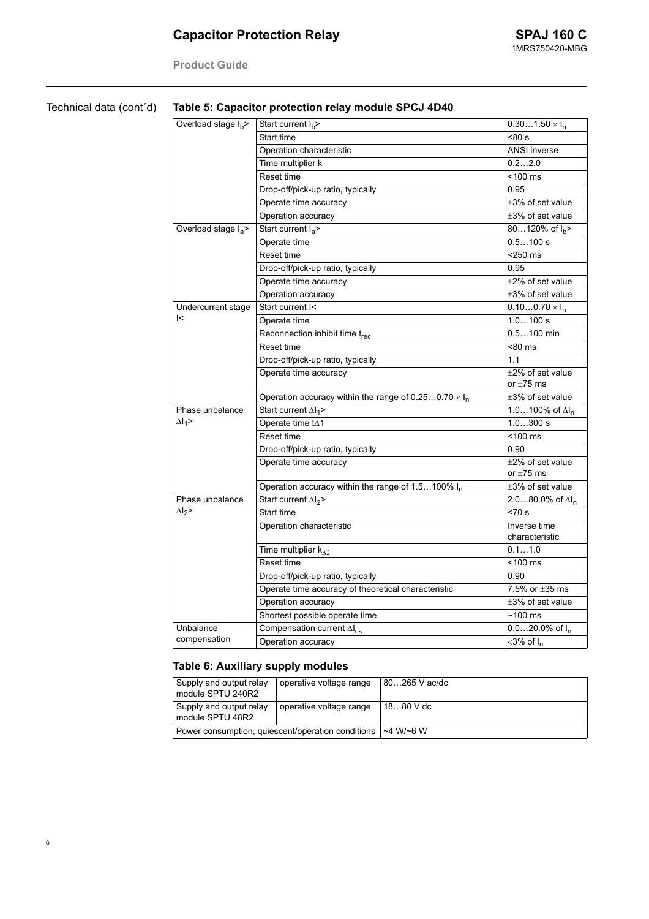**Product Guide**

| Technical data (cont'd) | Table 5: Capacitor protection relay module SPCJ 4D40 |                                                              |                                |  |
|-------------------------|------------------------------------------------------|--------------------------------------------------------------|--------------------------------|--|
|                         | Overload stage $I_h$ >                               | Start current $I_b$ >                                        | $0.301.50 \times I_n$          |  |
|                         |                                                      | Start time                                                   | < 80 s                         |  |
|                         |                                                      | Operation characteristic                                     | <b>ANSI inverse</b>            |  |
|                         |                                                      | Time multiplier k                                            | 0.22.0                         |  |
|                         |                                                      | Reset time                                                   | $<$ 100 $\,$ ms                |  |
|                         |                                                      | Drop-off/pick-up ratio, typically                            | 0.95                           |  |
|                         |                                                      | Operate time accuracy                                        | $\pm 3\%$ of set value         |  |
|                         |                                                      | Operation accuracy                                           | $\pm 3\%$ of set value         |  |
|                         | Overload stage I <sub>a</sub>                        | Start current $I_a$ >                                        | 80120% of $I_h$ >              |  |
|                         |                                                      | Operate time                                                 | 0.5100 s                       |  |
|                         |                                                      | Reset time                                                   | <250 ms                        |  |
|                         |                                                      | Drop-off/pick-up ratio, typically                            | 0.95                           |  |
|                         |                                                      | Operate time accuracy                                        | $\pm 2\%$ of set value         |  |
|                         |                                                      | Operation accuracy                                           | $\pm 3\%$ of set value         |  |
|                         | Undercurrent stage                                   | Start current I<                                             | $0.100.70 \times I_n$          |  |
|                         | $\mathsf{K}$                                         | Operate time                                                 | 1.0100 s                       |  |
|                         |                                                      | Reconnection inhibit time trec                               | $0.5100$ min                   |  |
|                         |                                                      | Reset time                                                   | <80 ms                         |  |
|                         |                                                      | Drop-off/pick-up ratio, typically                            | 1.1                            |  |
|                         |                                                      | Operate time accuracy                                        | $\pm 2\%$ of set value         |  |
|                         |                                                      |                                                              | or $\pm 75$ ms                 |  |
|                         |                                                      | Operation accuracy within the range of $0.250.70 \times I_n$ | $\pm 3\%$ of set value         |  |
|                         | Phase unbalance                                      | Start current $\Delta I_1$ >                                 | 1.0100% of $\Delta I_n$        |  |
|                         | $\Delta I_1$ >                                       | Operate time tA1                                             | 1.0300 s                       |  |
|                         |                                                      | Reset time                                                   | $<$ 100 $ms$                   |  |
|                         |                                                      | Drop-off/pick-up ratio, typically                            | 0.90                           |  |
|                         |                                                      | Operate time accuracy                                        | $\pm 2\%$ of set value         |  |
|                         |                                                      |                                                              | or $\pm 75$ ms                 |  |
|                         |                                                      | Operation accuracy within the range of 1.5100% In            | $\pm 3\%$ of set value         |  |
|                         | Phase unbalance                                      | Start current $\Delta l_2$ >                                 | 2.080.0% of $\Delta I_n$       |  |
|                         | $\Delta l_2$ >                                       | Start time                                                   | $< 70$ s                       |  |
|                         |                                                      | Operation characteristic                                     | Inverse time<br>characteristic |  |
|                         |                                                      | Time multiplier $k_{\Lambda2}$                               | 0.11.0                         |  |
|                         |                                                      | Reset time                                                   | $<$ 100 $ms$                   |  |
|                         |                                                      | Drop-off/pick-up ratio, typically                            | 0.90                           |  |
|                         |                                                      | Operate time accuracy of theoretical characteristic          | 7.5% or $\pm 35$ ms            |  |
|                         |                                                      | Operation accuracy                                           | $\pm 3\%$ of set value         |  |
|                         |                                                      | Shortest possible operate time                               | $~100 \text{ ms}$              |  |
|                         | Unbalance                                            | Compensation current $\Delta I_{CS}$                         | $0.020.0\%$ of $I_n$           |  |
|                         | compensation                                         | Operation accuracy                                           | $<$ 3% of $I_n$                |  |

### **Table 6: Auxiliary supply modules**

| Supply and output relay<br>module SPTU 240R2      | operative voltage range | 80265 V ac/dc  |
|---------------------------------------------------|-------------------------|----------------|
| Supply and output relay<br>module SPTU 48R2       | operative voltage range | 1880 V dc      |
| Power consumption, quiescent/operation conditions |                         | $~1$ M/ $~6$ W |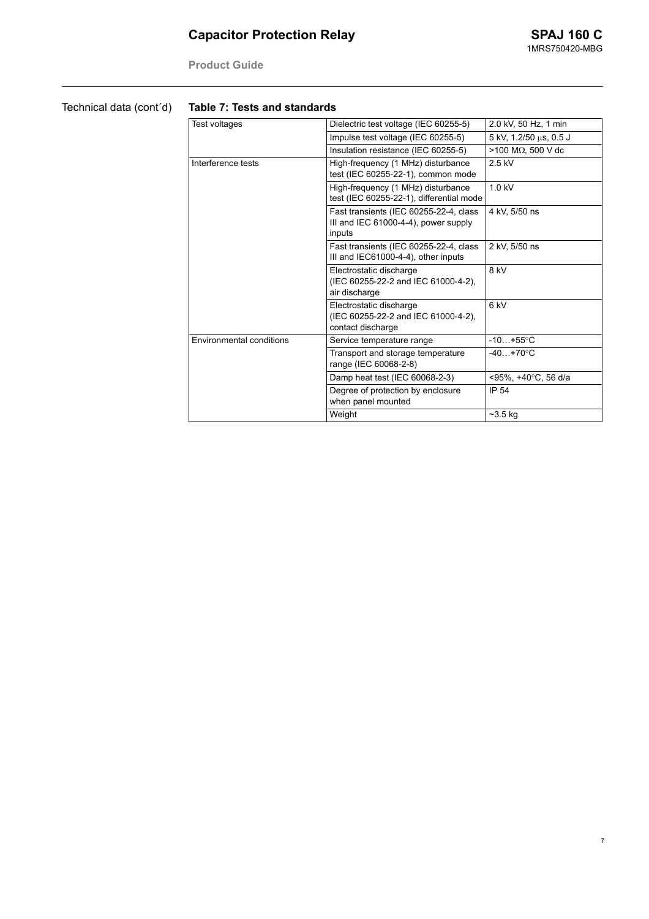**Product Guide**

### Technical data (cont´d)

#### **Table 7: Tests and standards**

| Test voltages            | Dielectric test voltage (IEC 60255-5)                                                    | 2.0 kV, 50 Hz, 1 min          |
|--------------------------|------------------------------------------------------------------------------------------|-------------------------------|
|                          | Impulse test voltage (IEC 60255-5)                                                       | 5 kV, 1.2/50 μs, 0.5 J        |
|                          | Insulation resistance (IEC 60255-5)                                                      | $>$ 100 M $\Omega$ . 500 V dc |
| Interference tests       | High-frequency (1 MHz) disturbance<br>test (IEC 60255-22-1), common mode                 | $2.5$ kV                      |
|                          | High-frequency (1 MHz) disturbance<br>test (IEC 60255-22-1), differential mode           | $1.0$ kV                      |
|                          | Fast transients (IEC 60255-22-4, class<br>III and IEC 61000-4-4), power supply<br>inputs | 4 kV, 5/50 ns                 |
|                          | Fast transients (IEC 60255-22-4, class<br>III and IEC61000-4-4), other inputs            | 2 kV, 5/50 ns                 |
|                          | Electrostatic discharge<br>(IEC 60255-22-2 and IEC 61000-4-2),<br>air discharge          | 8 kV                          |
|                          | Electrostatic discharge<br>(IEC 60255-22-2 and IEC 61000-4-2),<br>contact discharge      | 6 kV                          |
| Environmental conditions | Service temperature range                                                                | $-10+55$ °C                   |
|                          | Transport and storage temperature<br>range (IEC 60068-2-8)                               | $-40+70$ °C                   |
|                          | Damp heat test (IEC 60068-2-3)                                                           | <95%. +40°C. 56 d/a           |
|                          | Degree of protection by enclosure<br>when panel mounted                                  | IP 54                         |
|                          | Weight                                                                                   | $-3.5$ kg                     |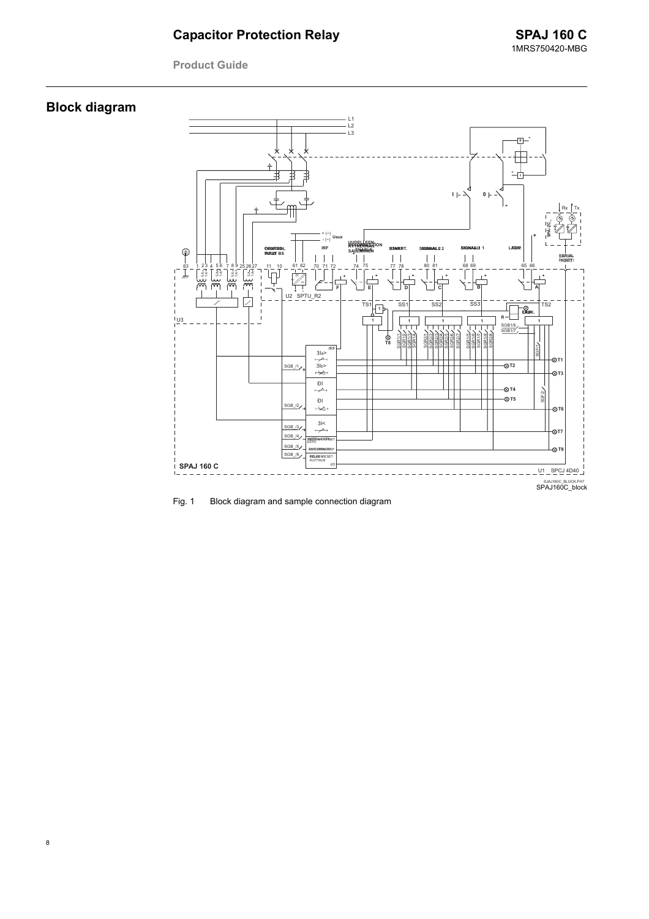**Product Guide** 

# **Block diagram**



Block diagram and sample connection diagram Fig. 1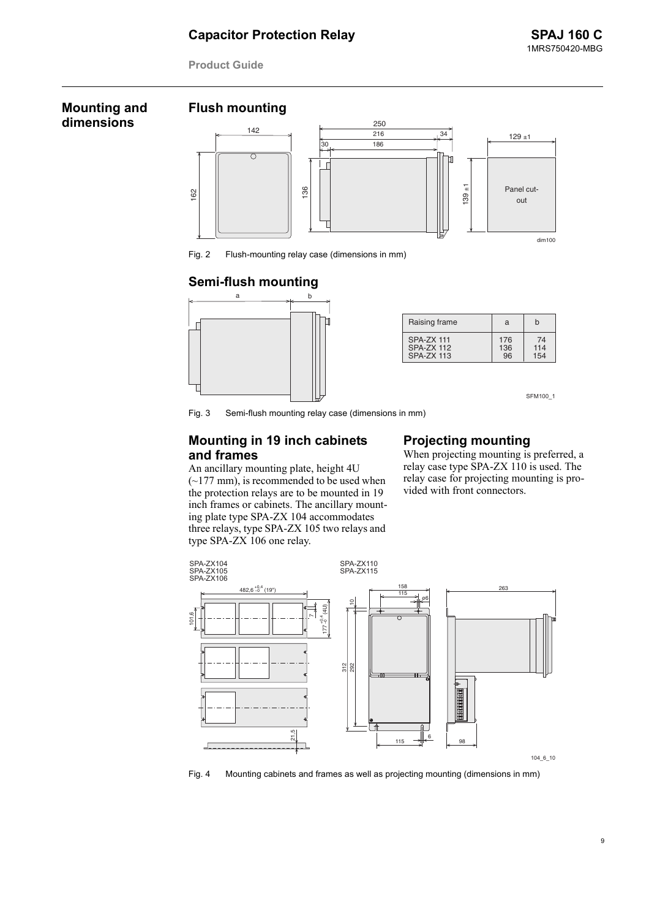**Product Guide**

#### **Mounting and dimensions**





Fig. 2 Flush-mounting relay case (dimensions in mm)

#### **Semi-flush mounting**



| Raising frame     | a   | h   |
|-------------------|-----|-----|
| <b>SPA-ZX 111</b> | 176 | 74  |
| <b>SPA-ZX 112</b> | 136 | 114 |
| <b>SPA-ZX 113</b> | 96  | 154 |

SFM100 1

Fig. 3 Semi-flush mounting relay case (dimensions in mm)

#### **Mounting in 19 inch cabinets and frames**

An ancillary mounting plate, height 4U  $(-177 \text{ mm})$ , is recommended to be used when the protection relays are to be mounted in 19 inch frames or cabinets. The ancillary mounting plate type SPA-ZX 104 accommodates three relays, type SPA-ZX 105 two relays and type SPA-ZX 106 one relay.

#### **Projecting mounting**

When projecting mounting is preferred, a relay case type SPA-ZX 110 is used. The relay case for projecting mounting is provided with front connectors.



Fig. 4 Mounting cabinets and frames as well as projecting mounting (dimensions in mm)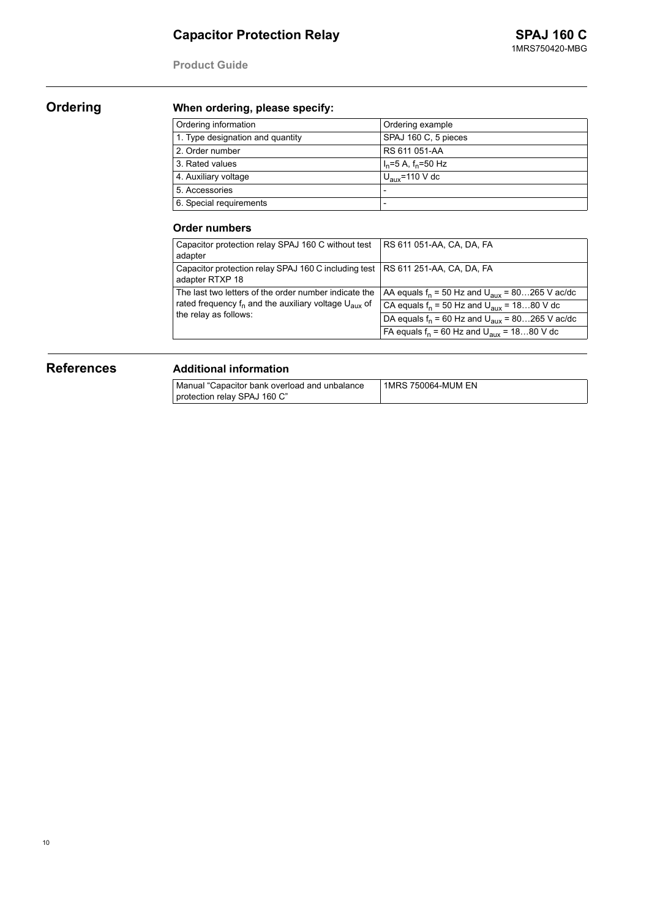**Product Guide**

# **Ordering When ordering, please specify:**

| Ordering information             | Ordering example           |
|----------------------------------|----------------------------|
| 1. Type designation and quantity | SPAJ 160 C, 5 pieces       |
| 2. Order number                  | RS 611 051-AA              |
| 3. Rated values                  | $I_n = 5$ A, $f_n = 50$ Hz |
| 4. Auxiliary voltage             | $U_{\text{aux}}$ =110 V dc |
| 5. Accessories                   | $\overline{\phantom{a}}$   |
| 6. Special requirements          |                            |

#### **Order numbers**

| Capacitor protection relay SPAJ 160 C without test<br>adapter                                                                                         | RS 611 051-AA, CA, DA, FA                                    |
|-------------------------------------------------------------------------------------------------------------------------------------------------------|--------------------------------------------------------------|
| Capacitor protection relay SPAJ 160 C including test   RS 611 251-AA, CA, DA, FA<br>adapter RTXP 18                                                   |                                                              |
| The last two letters of the order number indicate the<br>rated frequency $f_n$ and the auxiliary voltage $U_{\text{aux}}$ of<br>the relay as follows: | AA equals $f_n = 50$ Hz and $U_{\text{aux}} = 80265$ V ac/dc |
|                                                                                                                                                       | CA equals $f_n = 50$ Hz and $U_{\text{aux}} = 1880$ V dc     |
|                                                                                                                                                       | DA equals $f_n = 60$ Hz and $U_{\text{aux}} = 80265$ V ac/dc |
|                                                                                                                                                       | FA equals $f_n = 60$ Hz and $U_{\text{aux}} = 1880$ V dc     |

### **References Additional information**

| Manual "Capacitor bank overload and unbalance | 1MRS 750064-MUM EN |
|-----------------------------------------------|--------------------|
| protection relay SPAJ 160 C"                  |                    |